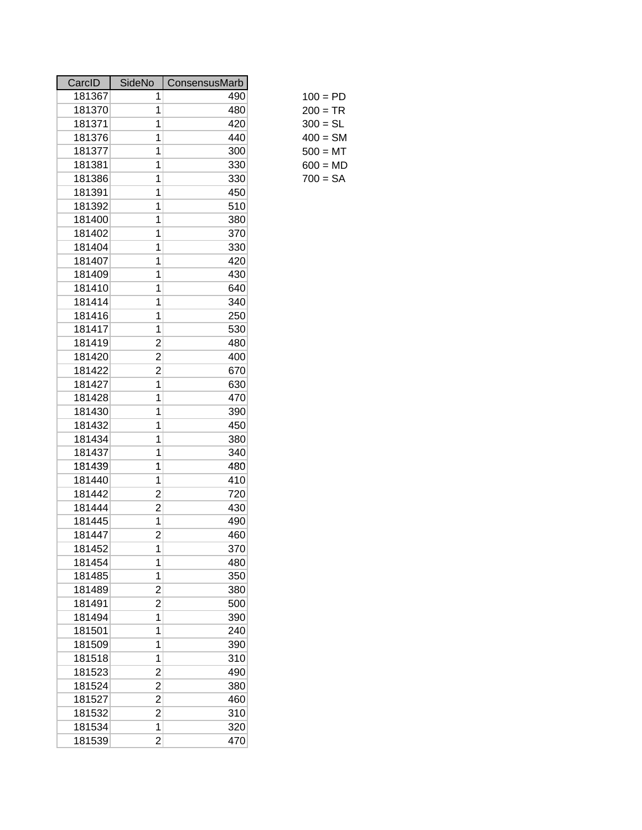| CarcID | <b>SideNo</b>  | ConsensusMarb |            |
|--------|----------------|---------------|------------|
| 181367 | 1              | 490           | $100 = PD$ |
| 181370 | 1              | 480           | $200 = TR$ |
| 181371 | 1              | 420           | $300 = SL$ |
| 181376 | 1              | 440           | $400 = SM$ |
| 181377 | 1              | 300           | $500 = MT$ |
| 181381 | 1              | 330           | $600 = MD$ |
| 181386 | 1              | 330           | $700 = SA$ |
| 181391 | 1              | 450           |            |
| 181392 | 1              | 510           |            |
| 181400 | 1              | 380           |            |
| 181402 | 1              | 370           |            |
| 181404 | 1              | 330           |            |
| 181407 | 1              | 420           |            |
| 181409 | 1              | 430           |            |
| 181410 | 1              | 640           |            |
| 181414 | 1              | 340           |            |
| 181416 | 1              | 250           |            |
| 181417 | 1              | 530           |            |
| 181419 | $\overline{c}$ | 480           |            |
| 181420 | $\overline{c}$ | 400           |            |
| 181422 | $\overline{c}$ | 670           |            |
| 181427 | 1              | 630           |            |
| 181428 | 1              | 470           |            |
| 181430 | 1              | 390           |            |
| 181432 | 1              | 450           |            |
| 181434 | 1              | 380           |            |
| 181437 | 1              | 340           |            |
| 181439 | 1              | 480           |            |
| 181440 | 1              | 410           |            |
| 181442 | $\overline{c}$ | 720           |            |
| 181444 | $\overline{c}$ | 430           |            |
| 181445 | 1              | 490           |            |
| 181447 | $\overline{c}$ | 460           |            |
| 181452 | 1              | 370           |            |
| 181454 | 1              | 480           |            |
| 181485 | 1              | 350           |            |
| 181489 | $\overline{c}$ | 380           |            |
| 181491 | $\overline{2}$ | 500           |            |
| 181494 | 1              | 390           |            |
| 181501 | 1              | 240           |            |
| 181509 | 1              | 390           |            |
| 181518 | 1              | 310           |            |
| 181523 | $\overline{c}$ | 490           |            |
| 181524 | $\overline{c}$ | 380           |            |
| 181527 | $\overline{c}$ | 460           |            |
| 181532 | $\overline{2}$ | 310           |            |
| 181534 | 1              | 320           |            |
| 181539 | $\overline{2}$ | 470           |            |

| 100 = PD   |  |
|------------|--|
| $200 = TR$ |  |
| $300 = SL$ |  |
| 400 = SM   |  |
| 500 = MT   |  |
| $600 = MD$ |  |
| 700 = SA   |  |
|            |  |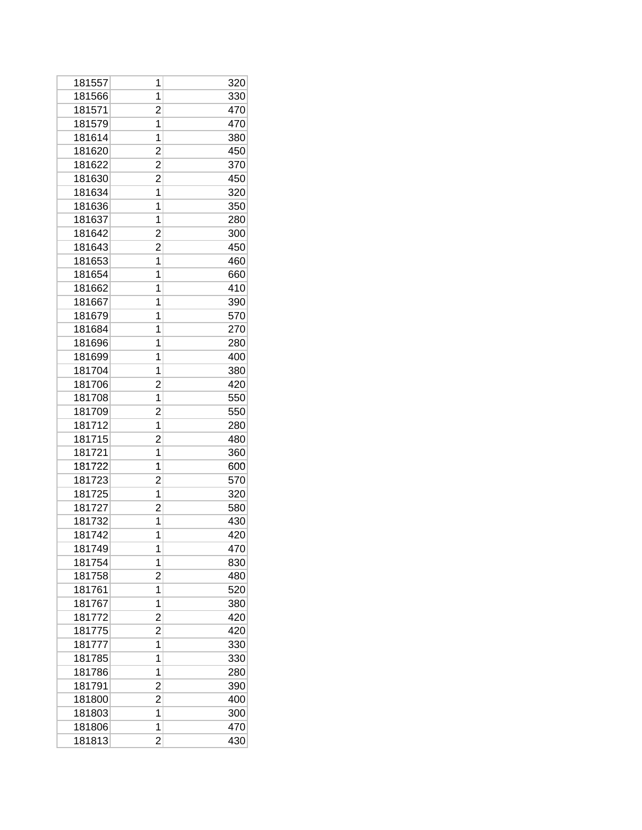| 181557 | 1              | 320 |
|--------|----------------|-----|
| 181566 | 1              | 330 |
| 181571 | $\overline{c}$ | 470 |
| 181579 | 1              | 470 |
| 181614 | 1              | 380 |
| 181620 | $\overline{c}$ | 450 |
| 181622 | 2              | 370 |
| 181630 | $\overline{c}$ | 450 |
| 181634 | 1              | 320 |
| 181636 | 1              | 350 |
| 181637 | 1              | 280 |
| 181642 | 2              | 300 |
| 181643 | 2              | 450 |
| 181653 | 1              | 460 |
| 181654 | 1              | 660 |
| 181662 | 1              | 410 |
| 181667 | 1              | 390 |
| 181679 | 1              | 570 |
| 181684 | 1              | 270 |
| 181696 | 1              | 280 |
| 181699 | 1              | 400 |
| 181704 | 1              | 380 |
| 181706 | 2              | 420 |
| 181708 | 1              | 550 |
| 181709 | 2              | 550 |
| 181712 | 1              | 280 |
| 181715 | 2              | 480 |
| 181721 | 1              | 360 |
| 181722 | 1              | 600 |
| 181723 | 2              | 570 |
| 181725 | 1              | 320 |
| 181727 | $\overline{c}$ | 580 |
| 181732 | 1              | 430 |
| 181742 | 1              | 420 |
| 181749 | 1              | 470 |
| 181754 | 1              | 830 |
| 181758 | $\overline{c}$ | 480 |
| 181761 | 1              | 520 |
| 181767 | 1              | 380 |
| 181772 | 2              | 420 |
| 181775 | 2              | 420 |
| 181777 | 1              | 330 |
| 181785 | 1              | 330 |
| 181786 | 1              | 280 |
| 181791 | $\overline{c}$ | 390 |
| 181800 | 2              | 400 |
| 181803 | 1              | 300 |
| 181806 | 1              | 470 |
| 181813 | 2              | 430 |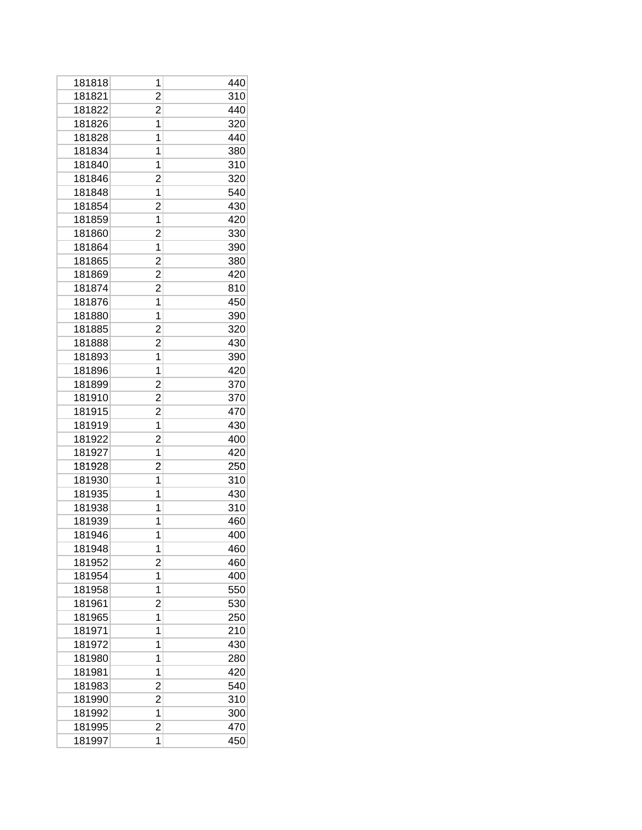| 181818 | 1              | 440 |
|--------|----------------|-----|
| 181821 | $\overline{c}$ | 310 |
| 181822 | 2              | 440 |
| 181826 | 1              | 320 |
| 181828 | 1              | 440 |
| 181834 | 1              | 380 |
| 181840 | 1              | 310 |
| 181846 | 2              | 320 |
| 181848 | 1              | 540 |
| 181854 | $\overline{c}$ | 430 |
| 181859 | 1              | 420 |
| 181860 | 2              | 330 |
| 181864 | 1              | 390 |
| 181865 | $\overline{2}$ | 380 |
| 181869 | 2              | 420 |
| 181874 | 2              | 810 |
| 181876 | 1              | 450 |
| 181880 | 1              | 390 |
| 181885 | 2              | 320 |
| 181888 | 2              | 430 |
| 181893 | 1              | 390 |
| 181896 | 1              | 420 |
| 181899 | $\overline{c}$ | 370 |
| 181910 | 2              | 370 |
| 181915 | $\overline{c}$ | 470 |
| 181919 | 1              | 430 |
| 181922 | $\overline{c}$ | 400 |
| 181927 | 1              | 420 |
| 181928 | 2              | 250 |
| 181930 | 1              | 310 |
| 181935 | 1              | 430 |
| 181938 | 1              | 310 |
| 181939 | 1              | 460 |
| 181946 | 1              | 400 |
| 181948 | 1              | 460 |
| 181952 | $\overline{c}$ | 460 |
| 181954 | 1              | 400 |
| 181958 | 1              | 550 |
| 181961 | 2              | 530 |
| 181965 | 1              | 250 |
| 181971 | 1              | 210 |
| 181972 | 1              | 430 |
| 181980 | 1              | 280 |
| 181981 | 1              | 420 |
| 181983 | 2              | 540 |
| 181990 | $\overline{c}$ | 310 |
| 181992 | 1              | 300 |
| 181995 | $\overline{2}$ | 470 |
| 181997 | 1              | 450 |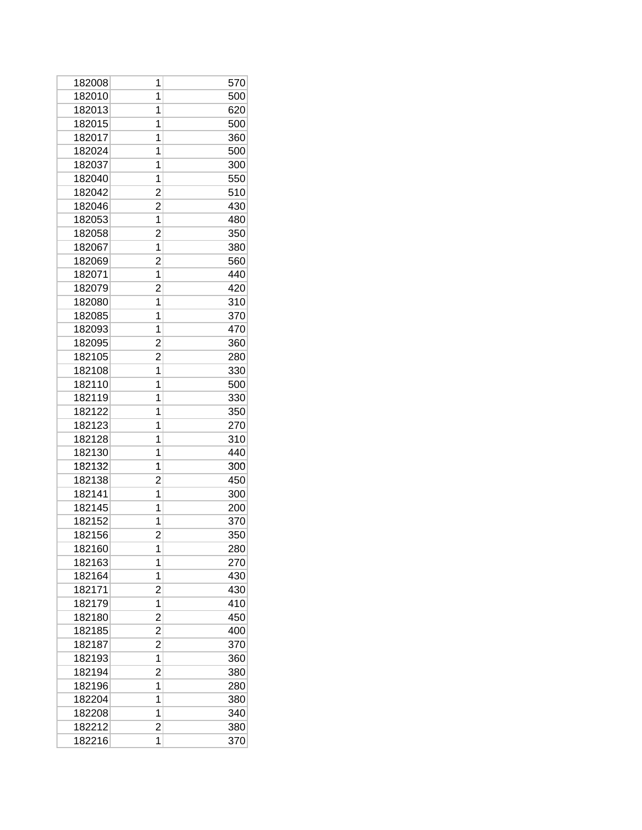| 182008 | 1              | 570 |
|--------|----------------|-----|
| 182010 | 1              | 500 |
| 182013 | 1              | 620 |
| 182015 | 1              | 500 |
| 182017 | 1              | 360 |
| 182024 | 1              | 500 |
| 182037 | 1              | 300 |
| 182040 | 1              | 550 |
| 182042 | $\overline{c}$ | 510 |
| 182046 | $\overline{c}$ | 430 |
| 182053 | 1              | 480 |
| 182058 | $\overline{c}$ | 350 |
| 182067 | 1              | 380 |
| 182069 | 2              | 560 |
| 182071 | 1              | 440 |
| 182079 | $\overline{c}$ | 420 |
| 182080 | 1              | 310 |
| 182085 | 1              | 370 |
| 182093 | 1              | 470 |
| 182095 | 2              | 360 |
| 182105 | $\overline{c}$ | 280 |
| 182108 | 1              | 330 |
| 182110 | 1              | 500 |
| 182119 | 1              | 330 |
| 182122 | 1              | 350 |
| 182123 | 1              | 270 |
| 182128 | 1              | 310 |
| 182130 | 1              | 440 |
| 182132 | 1              | 300 |
| 182138 | 2              | 450 |
| 182141 | 1              | 300 |
| 182145 | 1              | 200 |
| 182152 | 1              | 370 |
| 182156 | $\overline{c}$ | 350 |
| 182160 | 1              | 280 |
| 182163 | 1              | 270 |
| 182164 | 1              | 430 |
| 182171 | $\overline{c}$ | 430 |
| 182179 | 1              | 410 |
| 182180 | 2              | 450 |
| 182185 | 2              | 400 |
| 182187 | 2              | 370 |
| 182193 | 1              | 360 |
| 182194 | 2              | 380 |
| 182196 | 1              | 280 |
| 182204 | 1              | 380 |
| 182208 | 1              | 340 |
| 182212 | $\overline{c}$ | 380 |
| 182216 | 1              | 370 |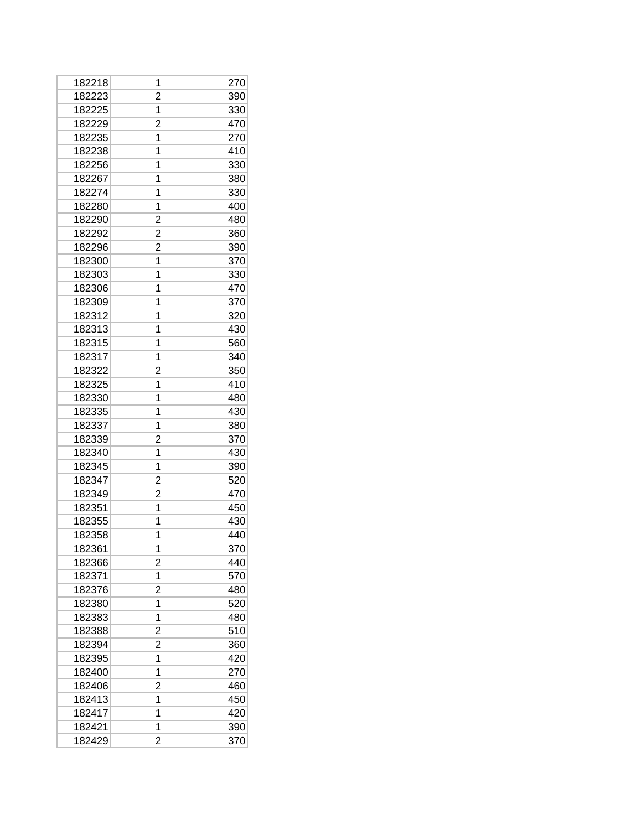| 182218 | 1              | 270 |
|--------|----------------|-----|
| 182223 | 2              | 390 |
| 182225 | 1              | 330 |
| 182229 | $\overline{c}$ | 470 |
| 182235 | 1              | 270 |
| 182238 | 1              | 410 |
| 182256 | 1              | 330 |
| 182267 | 1              | 380 |
| 182274 | 1              | 330 |
| 182280 | 1              | 400 |
| 182290 | 2              | 480 |
| 182292 | 2              | 360 |
| 182296 | 2              | 390 |
| 182300 | 1              | 370 |
| 182303 | 1              | 330 |
| 182306 | 1              | 470 |
| 182309 | 1              | 370 |
| 182312 | 1              | 320 |
| 182313 | 1              | 430 |
| 182315 | 1              | 560 |
| 182317 | 1              | 340 |
| 182322 | $\overline{2}$ | 350 |
| 182325 | 1              | 410 |
| 182330 | 1              | 480 |
| 182335 | 1              | 430 |
| 182337 | 1              | 380 |
| 182339 | 2              | 370 |
| 182340 | 1              | 430 |
| 182345 | 1              | 390 |
| 182347 | $\overline{c}$ | 520 |
| 182349 | $\overline{c}$ | 470 |
| 182351 | 1              | 450 |
| 182355 | 1              | 430 |
| 182358 | 1              | 440 |
| 182361 | 1              | 370 |
| 182366 | $\overline{c}$ | 440 |
| 182371 | 1              | 570 |
| 182376 | $\overline{c}$ | 480 |
| 182380 | 1              | 520 |
| 182383 | 1              | 480 |
| 182388 | 2              | 510 |
| 182394 | $\overline{c}$ | 360 |
| 182395 | 1              | 420 |
| 182400 | 1              | 270 |
| 182406 | $\overline{c}$ | 460 |
| 182413 | 1              | 450 |
| 182417 | 1              | 420 |
| 182421 | 1              | 390 |
| 182429 | 2              | 370 |